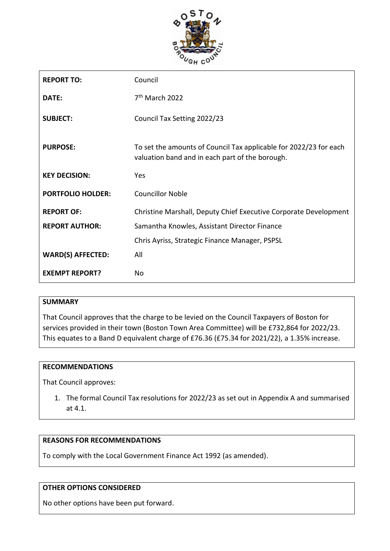

| <b>REPORT TO:</b>        | Council                                                                                                              |  |
|--------------------------|----------------------------------------------------------------------------------------------------------------------|--|
| DATE:                    | 7 <sup>th</sup> March 2022                                                                                           |  |
| <b>SUBJECT:</b>          | Council Tax Setting 2022/23                                                                                          |  |
| <b>PURPOSE:</b>          | To set the amounts of Council Tax applicable for 2022/23 for each<br>valuation band and in each part of the borough. |  |
| <b>KEY DECISION:</b>     | Yes                                                                                                                  |  |
| <b>PORTFOLIO HOLDER:</b> | <b>Councillor Noble</b>                                                                                              |  |
| <b>REPORT OF:</b>        | Christine Marshall, Deputy Chief Executive Corporate Development                                                     |  |
| <b>REPORT AUTHOR:</b>    | Samantha Knowles, Assistant Director Finance                                                                         |  |
|                          | Chris Ayriss, Strategic Finance Manager, PSPSL                                                                       |  |
| <b>WARD(S) AFFECTED:</b> | All                                                                                                                  |  |
| <b>EXEMPT REPORT?</b>    | Nο                                                                                                                   |  |

# **SUMMARY**

That Council approves that the charge to be levied on the Council Taxpayers of Boston for services provided in their town (Boston Town Area Committee) will be £732,864 for 2022/23. This equates to a Band D equivalent charge of £76.36 (£75.34 for 2021/22), a 1.35% increase.

### **RECOMMENDATIONS**

That Council approves:

1. The formal Council Tax resolutions for 2022/23 as set out in Appendix A and summarised at 4.1.

#### **REASONS FOR RECOMMENDATIONS**

To comply with the Local Government Finance Act 1992 (as amended).

#### **OTHER OPTIONS CONSIDERED**

No other options have been put forward.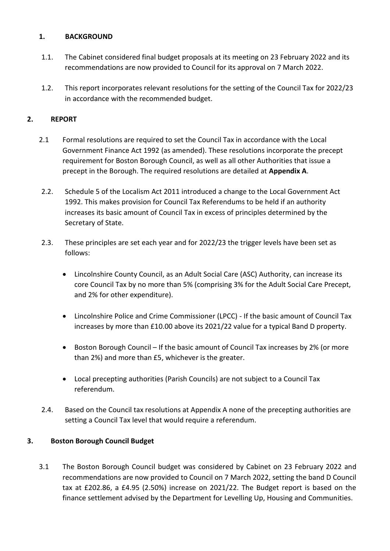# **1. BACKGROUND**

- 1.1. The Cabinet considered final budget proposals at its meeting on 23 February 2022 and its recommendations are now provided to Council for its approval on 7 March 2022.
- 1.2. This report incorporates relevant resolutions for the setting of the Council Tax for 2022/23 in accordance with the recommended budget.

# **2. REPORT**

- 2.1 Formal resolutions are required to set the Council Tax in accordance with the Local Government Finance Act 1992 (as amended). These resolutions incorporate the precept requirement for Boston Borough Council, as well as all other Authorities that issue a precept in the Borough. The required resolutions are detailed at **Appendix A**.
- 2.2. Schedule 5 of the Localism Act 2011 introduced a change to the Local Government Act 1992. This makes provision for Council Tax Referendums to be held if an authority increases its basic amount of Council Tax in excess of principles determined by the Secretary of State.
- 2.3. These principles are set each year and for 2022/23 the trigger levels have been set as follows:
	- Lincolnshire County Council, as an Adult Social Care (ASC) Authority, can increase its core Council Tax by no more than 5% (comprising 3% for the Adult Social Care Precept, and 2% for other expenditure).
	- Lincolnshire Police and Crime Commissioner (LPCC) If the basic amount of Council Tax increases by more than £10.00 above its 2021/22 value for a typical Band D property.
	- Boston Borough Council If the basic amount of Council Tax increases by 2% (or more than 2%) and more than £5, whichever is the greater.
	- Local precepting authorities (Parish Councils) are not subject to a Council Tax referendum.
- 2.4. Based on the Council tax resolutions at Appendix A none of the precepting authorities are setting a Council Tax level that would require a referendum.

# **3. Boston Borough Council Budget**

3.1 The Boston Borough Council budget was considered by Cabinet on 23 February 2022 and recommendations are now provided to Council on 7 March 2022, setting the band D Council tax at £202.86, a £4.95 (2.50%) increase on 2021/22. The Budget report is based on the finance settlement advised by the Department for Levelling Up, Housing and Communities.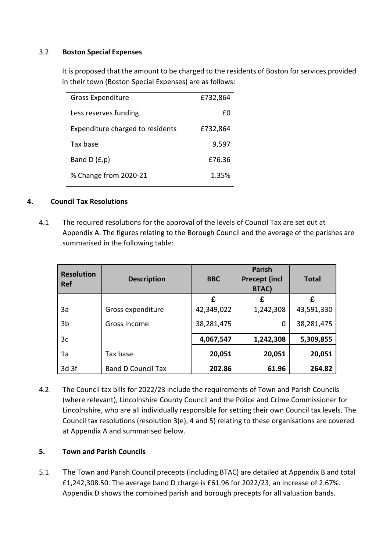### 3.2 **Boston Special Expenses**

It is proposed that the amount to be charged to the residents of Boston for services provided in their town (Boston Special Expenses) are as follows:

| <b>Gross Expenditure</b>         | £732,864 |
|----------------------------------|----------|
| Less reserves funding            | £Ο       |
| Expenditure charged to residents | £732,864 |
| Tax base                         | 9,597    |
| Band $D(f.p)$                    | £76.36   |
| % Change from 2020-21            | 1.35%    |

# **4. Council Tax Resolutions**

4.1 The required resolutions for the approval of the levels of Council Tax are set out at Appendix A. The figures relating to the Borough Council and the average of the parishes are summarised in the following table:

| <b>Resolution</b><br><b>Ref</b> | <b>Description</b>        | <b>BBC</b> | <b>Parish</b><br><b>Precept (incl</b><br><b>BTAC)</b> | <b>Total</b> |
|---------------------------------|---------------------------|------------|-------------------------------------------------------|--------------|
|                                 |                           | £          | £                                                     | £            |
| За                              | Gross expenditure         | 42,349,022 | 1,242,308                                             | 43,591,330   |
| 3b                              | Gross Income              | 38,281,475 | 0                                                     | 38,281,475   |
| 3 <sub>c</sub>                  |                           | 4,067,547  | 1,242,308                                             | 5,309,855    |
| 1a                              | Tax base                  | 20,051     | 20,051                                                | 20,051       |
| 3d 3f                           | <b>Band D Council Tax</b> | 202.86     | 61.96                                                 | 264.82       |

4.2 The Council tax bills for 2022/23 include the requirements of Town and Parish Councils (where relevant), Lincolnshire County Council and the Police and Crime Commissioner for Lincolnshire, who are all individually responsible for setting their own Council tax levels. The Council tax resolutions (resolution 3(e), 4 and 5) relating to these organisations are covered at Appendix A and summarised below.

# **5. Town and Parish Councils**

5.1 The Town and Parish Council precepts (including BTAC) are detailed at Appendix B and total £1,242,308.50. The average band D charge is £61.96 for 2022/23, an increase of 2.67%. Appendix D shows the combined parish and borough precepts for all valuation bands.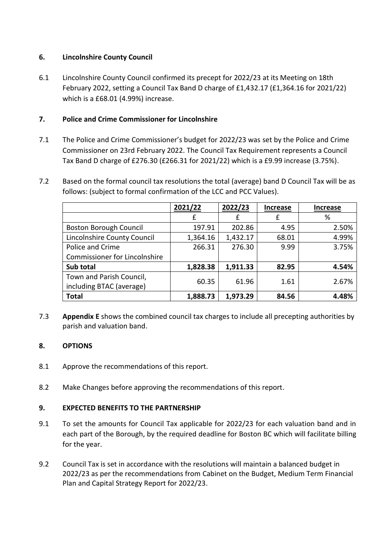# **6. Lincolnshire County Council**

6.1 Lincolnshire County Council confirmed its precept for 2022/23 at its Meeting on 18th February 2022, setting a Council Tax Band D charge of £1,432.17 (£1,364.16 for 2021/22) which is a £68.01 (4.99%) increase.

# **7. Police and Crime Commissioner for Lincolnshire**

- 7.1 The Police and Crime Commissioner's budget for 2022/23 was set by the Police and Crime Commissioner on 23rd February 2022. The Council Tax Requirement represents a Council Tax Band D charge of £276.30 (£266.31 for 2021/22) which is a £9.99 increase (3.75%).
- 7.2 Based on the formal council tax resolutions the total (average) band D Council Tax will be as follows: (subject to formal confirmation of the LCC and PCC Values).

|                                      | 2021/22  | 2022/23  | <b>Increase</b> | <b>Increase</b> |
|--------------------------------------|----------|----------|-----------------|-----------------|
|                                      |          | £        | £               | %               |
| <b>Boston Borough Council</b>        | 197.91   | 202.86   | 4.95            | 2.50%           |
| Lincolnshire County Council          | 1,364.16 | 1,432.17 | 68.01           | 4.99%           |
| Police and Crime                     | 266.31   | 276.30   | 9.99            | 3.75%           |
| <b>Commissioner for Lincolnshire</b> |          |          |                 |                 |
| Sub total                            | 1,828.38 | 1,911.33 | 82.95           | 4.54%           |
| Town and Parish Council,             |          |          |                 |                 |
| including BTAC (average)             | 60.35    | 61.96    | 1.61            | 2.67%           |
| <b>Total</b>                         | 1,888.73 | 1,973.29 | 84.56           | 4.48%           |

7.3 **Appendix E** shows the combined council tax charges to include all precepting authorities by parish and valuation band.

# **8. OPTIONS**

- 8.1 Approve the recommendations of this report.
- 8.2 Make Changes before approving the recommendations of this report.

# **9. EXPECTED BENEFITS TO THE PARTNERSHIP**

- 9.1 To set the amounts for Council Tax applicable for 2022/23 for each valuation band and in each part of the Borough, by the required deadline for Boston BC which will facilitate billing for the year.
- 9.2 Council Tax is set in accordance with the resolutions will maintain a balanced budget in 2022/23 as per the recommendations from Cabinet on the Budget, Medium Term Financial Plan and Capital Strategy Report for 2022/23.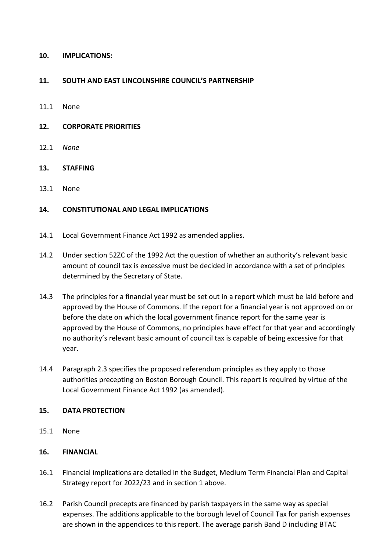### **10. IMPLICATIONS:**

### **11. SOUTH AND EAST LINCOLNSHIRE COUNCIL'S PARTNERSHIP**

- 11.1 None
- **12. CORPORATE PRIORITIES**
- 12.1 *None*

### **13. STAFFING**

13.1 None

### **14. CONSTITUTIONAL AND LEGAL IMPLICATIONS**

- 14.1 Local Government Finance Act 1992 as amended applies.
- 14.2 Under section 52ZC of the 1992 Act the question of whether an authority's relevant basic amount of council tax is excessive must be decided in accordance with a set of principles determined by the Secretary of State.
- 14.3 The principles for a financial year must be set out in a report which must be laid before and approved by the House of Commons. If the report for a financial year is not approved on or before the date on which the local government finance report for the same year is approved by the House of Commons, no principles have effect for that year and accordingly no authority's relevant basic amount of council tax is capable of being excessive for that year.
- 14.4 Paragraph 2.3 specifies the proposed referendum principles as they apply to those authorities precepting on Boston Borough Council. This report is required by virtue of the Local Government Finance Act 1992 (as amended).

### **15. DATA PROTECTION**

15.1 None

### **16. FINANCIAL**

- 16.1 Financial implications are detailed in the Budget, Medium Term Financial Plan and Capital Strategy report for 2022/23 and in section 1 above.
- 16.2 Parish Council precepts are financed by parish taxpayers in the same way as special expenses. The additions applicable to the borough level of Council Tax for parish expenses are shown in the appendices to this report. The average parish Band D including BTAC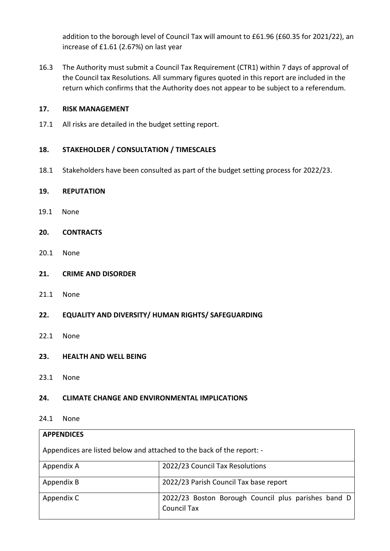addition to the borough level of Council Tax will amount to £61.96 (£60.35 for 2021/22), an increase of £1.61 (2.67%) on last year

16.3 The Authority must submit a Council Tax Requirement (CTR1) within 7 days of approval of the Council tax Resolutions. All summary figures quoted in this report are included in the return which confirms that the Authority does not appear to be subject to a referendum.

### **17. RISK MANAGEMENT**

17.1 All risks are detailed in the budget setting report.

# **18. STAKEHOLDER / CONSULTATION / TIMESCALES**

18.1 Stakeholders have been consulted as part of the budget setting process for 2022/23.

### **19. REPUTATION**

- 19.1 None
- **20. CONTRACTS**
- 20.1 None
- **21. CRIME AND DISORDER**
- 21.1 None
- **22. EQUALITY AND DIVERSITY/ HUMAN RIGHTS/ SAFEGUARDING**
- 22.1 None
- **23. HEALTH AND WELL BEING**
- 23.1 None

### **24. CLIMATE CHANGE AND ENVIRONMENTAL IMPLICATIONS**

#### 24.1 None

| <b>APPENDICES</b>                                                     |                                                                           |  |
|-----------------------------------------------------------------------|---------------------------------------------------------------------------|--|
| Appendices are listed below and attached to the back of the report: - |                                                                           |  |
| Appendix A                                                            | 2022/23 Council Tax Resolutions                                           |  |
| Appendix B                                                            | 2022/23 Parish Council Tax base report                                    |  |
| Appendix C                                                            | 2022/23 Boston Borough Council plus parishes band D<br><b>Council Tax</b> |  |